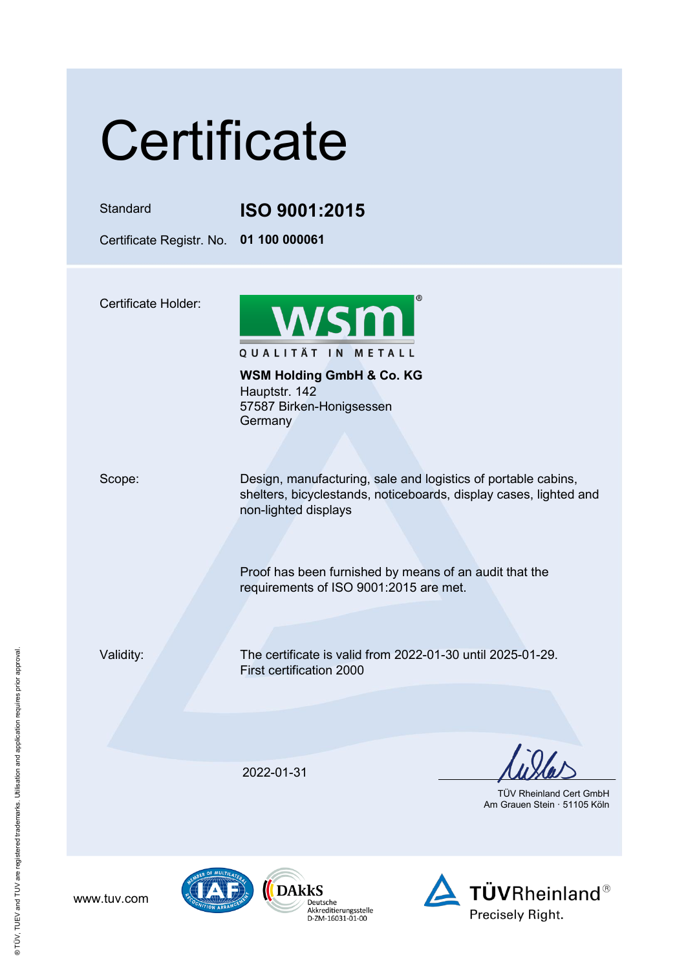## **Certificate**

Standard **ISO 9001:2015**

Certificate Registr. No. **01 100 000061**

Certificate Holder:



**WSM Holding GmbH & Co. KG** Hauptstr. 142 57587 Birken-Honigsessen **Germany** 

Scope: Design, manufacturing, sale and logistics of portable cabins, shelters, bicyclestands, noticeboards, display cases, lighted and non-lighted displays

> Proof has been furnished by means of an audit that the requirements of ISO 9001:2015 are met.

www.tuv.com

Validity: The certificate is valid from 2022-01-30 until 2025-01-29. First certification 2000

2022-01-31

 TÜV Rheinland Cert GmbH Am Grauen Stein · 51105 Köln





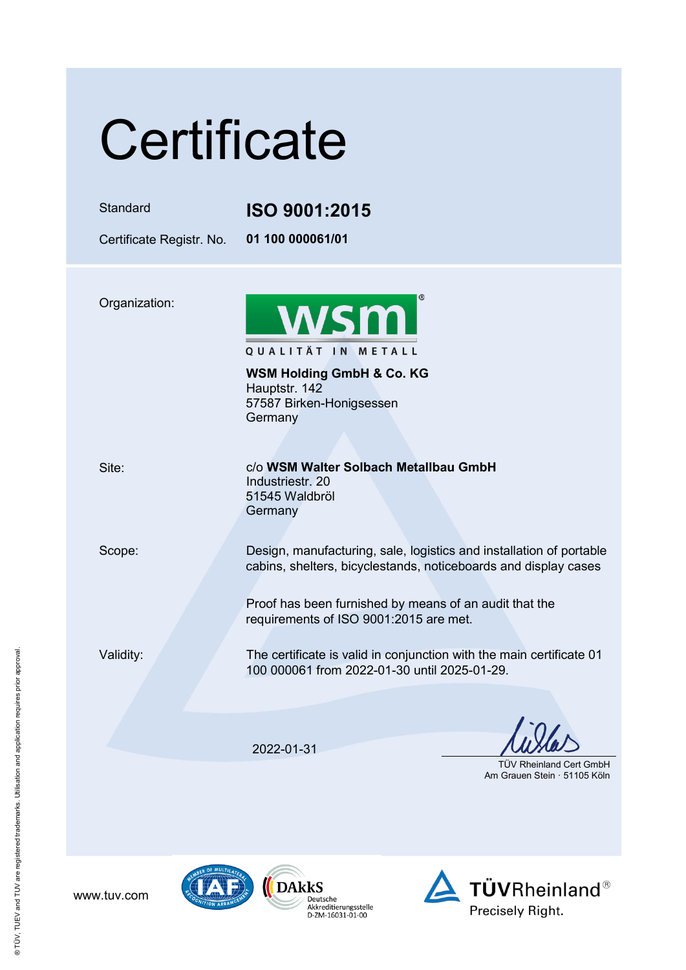| Certificate                          |                                                                                                                                                                                                                                            |
|--------------------------------------|--------------------------------------------------------------------------------------------------------------------------------------------------------------------------------------------------------------------------------------------|
| Standard<br>Certificate Registr. No. | <b>ISO 9001:2015</b><br>01 100 000061/01                                                                                                                                                                                                   |
| Organization:                        | <b>WSM</b><br>QUALITÄT IN METALL<br><b>WSM Holding GmbH &amp; Co. KG</b><br>Hauptstr. 142<br>57587 Birken-Honigsessen<br>Germany                                                                                                           |
| Site:                                | c/o WSM Walter Solbach Metallbau GmbH<br>Industriestr. 20<br>51545 Waldbröl<br>Germany                                                                                                                                                     |
| Scope:                               | Design, manufacturing, sale, logistics and installation of portable<br>cabins, shelters, bicyclestands, noticeboards and display cases<br>Proof has been furnished by means of an audit that the<br>requirements of ISO 9001:2015 are met. |
| Validity:                            | The certificate is valid in conjunction with the main certificate 01<br>100 000061 from 2022-01-30 until 2025-01-29.                                                                                                                       |
|                                      | 2022-01-31<br><b>TUV Rheinland Cert GmbH</b><br>Am Grauen Stein · 51105 Köln                                                                                                                                                               |







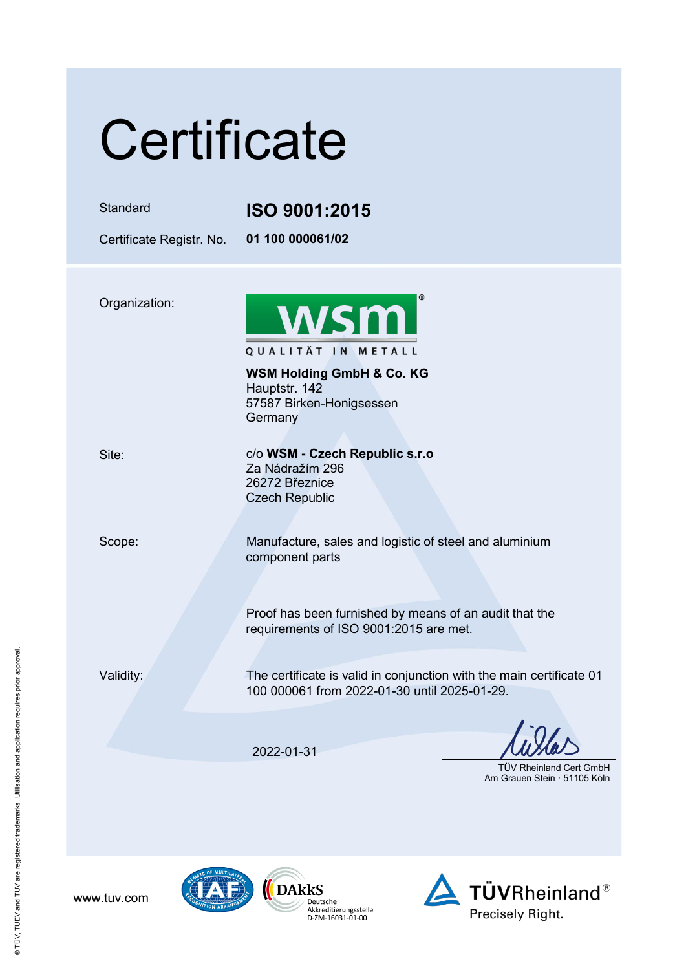| Certificate              |                                                                                                                      |
|--------------------------|----------------------------------------------------------------------------------------------------------------------|
| Standard                 | <b>ISO 9001:2015</b>                                                                                                 |
| Certificate Registr. No. | 01 100 000061/02                                                                                                     |
| Organization:            | <b>WSM</b><br>QUALITÄT IN METALL<br><b>WSM Holding GmbH &amp; Co. KG</b>                                             |
|                          | Hauptstr. 142<br>57587 Birken-Honigsessen<br>Germany                                                                 |
| Site:                    | c/o WSM - Czech Republic s.r.o<br>Za Nádražím 296<br>26272 Březnice<br><b>Czech Republic</b>                         |
| Scope:                   | Manufacture, sales and logistic of steel and aluminium<br>component parts                                            |
|                          | Proof has been furnished by means of an audit that the<br>requirements of ISO 9001:2015 are met.                     |
| Validity:                | The certificate is valid in conjunction with the main certificate 01<br>100 000061 from 2022-01-30 until 2025-01-29. |
|                          | 2022-01-31<br><b>TUV Rheinland Cert GmbH</b><br>Am Grauen Stein · 51105 Köln                                         |

www.tuv.com